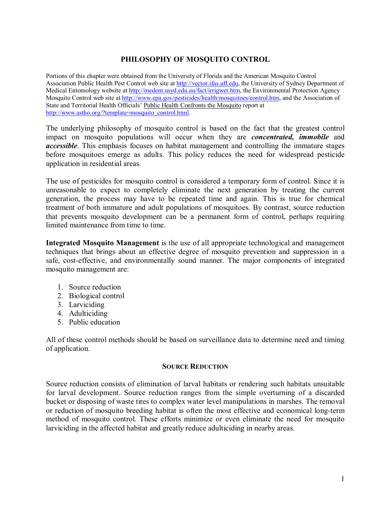# **PHILOSOPHY OF MOSQUITO CONTROL**

Portions of this chapter were obtained from the University of Florida and the American Mosquito Control Association Public Health Pest Control web site at [http://vector.ifas.ufl.edu,](http://vector.ifas.ufl.edu/) the University of Sydney Department of Medical Entomology website at [http://medent.usyd.edu.au/fact/irrigwet.htm,](http://medent.usyd.edu.au/fact/irrigwet.htm) the Environmental Protection Agency Mosquito Control web site at [http://www.epa.gov/pesticides/health/mosquitoes/control.htm,](http://www.epa.gov/pesticides/health/mosquitoes/control.htm) and the Association of State and Territorial Health Officials' Public Health Confronts the Mosquito report at [http://www.astho.org/?template=mosquito\\_control.html.](http://www.astho.org/?template=mosquito_control.html)

The underlying philosophy of mosquito control is based on the fact that the greatest control impact on mosquito populations will occur when they are *concentrated, immobile* and *accessible*. This emphasis focuses on habitat management and controlling the immature stages before mosquitoes emerge as adults. This policy reduces the need for widespread pesticide application in residential areas.

The use of pesticides for mosquito control is considered a temporary form of control. Since it is unreasonable to expect to completely eliminate the next generation by treating the current generation, the process may have to be repeated time and again. This is true for chemical treatment of both immature and adult populations of mosquitoes. By contrast, source reduction that prevents mosquito development can be a permanent form of control, perhaps requiring limited maintenance from time to time.

**Integrated Mosquito Management** is the use of all appropriate technological and management techniques that brings about an effective degree of mosquito prevention and suppression in a safe, cost-effective, and environmentally sound manner. The major components of integrated mosquito management are:

- 1. Source reduction
- 2. Biological control
- 3. Larviciding
- 4. Adulticiding
- 5. Public education

All of these control methods should be based on surveillance data to determine need and timing of application.

#### **SOURCE REDUCTION**

Source reduction consists of elimination of larval habitats or rendering such habitats unsuitable for larval development. Source reduction ranges from the simple overturning of a discarded bucket or disposing of waste tires to complex water level manipulations in marshes. The removal or reduction of mosquito breeding habitat is often the most effective and economical long-term method of mosquito control. These efforts minimize or even eliminate the need for mosquito larviciding in the affected habitat and greatly reduce adulticiding in nearby areas.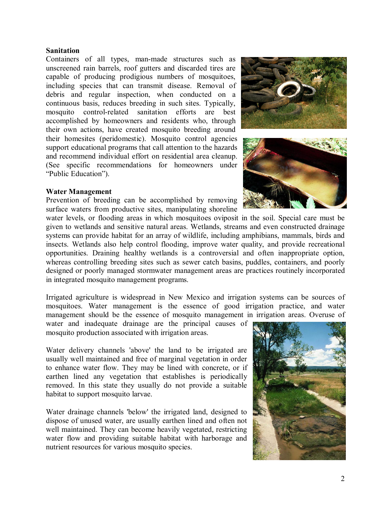## **Sanitation**

Containers of all types, man-made structures such as unscreened rain barrels, roof gutters and discarded tires are capable of producing prodigious numbers of mosquitoes, including species that can transmit disease. Removal of debris and regular inspection, when conducted on a continuous basis, reduces breeding in such sites. Typically, mosquito control-related sanitation efforts are best accomplished by homeowners and residents who, through their own actions, have created mosquito breeding around their homesites (peridomestic). Mosquito control agencies support educational programs that call attention to the hazards and recommend individual effort on residential area cleanup. (See specific recommendations for homeowners under "Public Education").

## **Water Management**

Prevention of breeding can be accomplished by removing surface waters from productive sites, manipulating shoreline





water levels, or flooding areas in which mosquitoes oviposit in the soil. Special care must be given to wetlands and sensitive natural areas. Wetlands, streams and even constructed drainage systems can provide habitat for an array of wildlife, including amphibians, mammals, birds and insects. Wetlands also help control flooding, improve water quality, and provide recreational opportunities. Draining healthy wetlands is a controversial and often inappropriate option, whereas controlling breeding sites such as sewer catch basins, puddles, containers, and poorly designed or poorly managed stormwater management areas are practices routinely incorporated in integrated mosquito management programs.

Irrigated agriculture is widespread in New Mexico and irrigation systems can be sources of mosquitoes. Water management is the essence of good irrigation practice, and water management should be the essence of mosquito management in irrigation areas. Overuse of

water and inadequate drainage are the principal causes of mosquito production associated with irrigation areas.

Water delivery channels 'above' the land to be irrigated are usually well maintained and free of marginal vegetation in order to enhance water flow. They may be lined with concrete, or if earthen lined any vegetation that establishes is periodically removed. In this state they usually do not provide a suitable habitat to support mosquito larvae.

Water drainage channels 'below' the irrigated land, designed to dispose of unused water, are usually earthen lined and often not well maintained. They can become heavily vegetated, restricting water flow and providing suitable habitat with harborage and nutrient resources for various mosquito species.

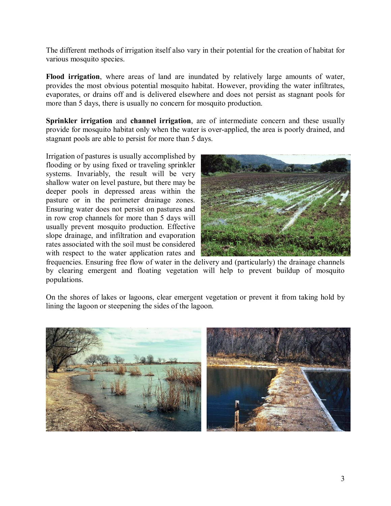The different methods of irrigation itself also vary in their potential for the creation of habitat for various mosquito species.

**Flood irrigation**, where areas of land are inundated by relatively large amounts of water, provides the most obvious potential mosquito habitat. However, providing the water infiltrates, evaporates, or drains off and is delivered elsewhere and does not persist as stagnant pools for more than 5 days, there is usually no concern for mosquito production.

**Sprinkler irrigation** and **channel irrigation**, are of intermediate concern and these usually provide for mosquito habitat only when the water is over-applied, the area is poorly drained, and stagnant pools are able to persist for more than 5 days.

Irrigation of pastures is usually accomplished by flooding or by using fixed or traveling sprinkler systems. Invariably, the result will be very shallow water on level pasture, but there may be deeper pools in depressed areas within the pasture or in the perimeter drainage zones. Ensuring water does not persist on pastures and in row crop channels for more than 5 days will usually prevent mosquito production. Effective slope drainage, and infiltration and evaporation rates associated with the soil must be considered with respect to the water application rates and



frequencies. Ensuring free flow of water in the delivery and (particularly) the drainage channels by clearing emergent and floating vegetation will help to prevent buildup of mosquito populations.

On the shores of lakes or lagoons, clear emergent vegetation or prevent it from taking hold by lining the lagoon or steepening the sides of the lagoon.

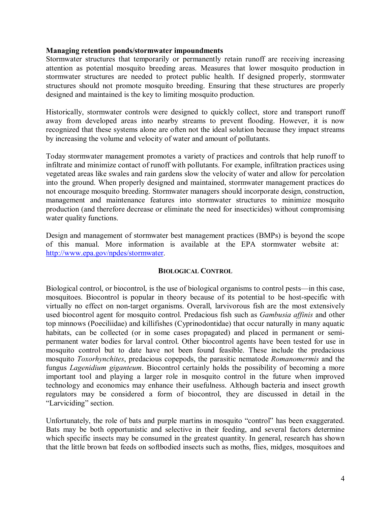#### **Managing retention ponds/stormwater impoundments**

Stormwater structures that temporarily or permanently retain runoff are receiving increasing attention as potential mosquito breeding areas. Measures that lower mosquito production in stormwater structures are needed to protect public health. If designed properly, stormwater structures should not promote mosquito breeding. Ensuring that these structures are properly designed and maintained is the key to limiting mosquito production.

Historically, stormwater controls were designed to quickly collect, store and transport runoff away from developed areas into nearby streams to prevent flooding. However, it is now recognized that these systems alone are often not the ideal solution because they impact streams by increasing the volume and velocity of water and amount of pollutants.

Today stormwater management promotes a variety of practices and controls that help runoff to infiltrate and minimize contact of runoff with pollutants. For example, infiltration practices using vegetated areas like swales and rain gardens slow the velocity of water and allow for percolation into the ground. When properly designed and maintained, stormwater management practices do not encourage mosquito breeding. Stormwater managers should incorporate design, construction, management and maintenance features into stormwater structures to minimize mosquito production (and therefore decrease or eliminate the need for insecticides) without compromising water quality functions.

Design and management of stormwater best management practices (BMPs) is beyond the scope of this manual. More information is available at the EPA stormwater website at: [http://www.epa.gov/npdes/stormwater.](http://www.epa.gov/npdes/stormwater)

## **BIOLOGICAL CONTROL**

Biological control, or biocontrol, is the use of biological organisms to control pests—in this case, mosquitoes. Biocontrol is popular in theory because of its potential to be host-specific with virtually no effect on non-target organisms. Overall, larvivorous fish are the most extensively used biocontrol agent for mosquito control. Predacious fish such as *Gambusia affinis* and other top minnows (Poeciliidae) and killifishes (Cyprinodontidae) that occur naturally in many aquatic habitats, can be collected (or in some cases propagated) and placed in permanent or semipermanent water bodies for larval control. Other biocontrol agents have been tested for use in mosquito control but to date have not been found feasible. These include the predacious mosquito *Toxorhynchites*, predacious copepods, the parasitic nematode *Romanomermis* and the fungus *Lagenidium giganteum*. Biocontrol certainly holds the possibility of becoming a more important tool and playing a larger role in mosquito control in the future when improved technology and economics may enhance their usefulness. Although bacteria and insect growth regulators may be considered a form of biocontrol, they are discussed in detail in the "Larviciding" section.

Unfortunately, the role of bats and purple martins in mosquito "control" has been exaggerated. Bats may be both opportunistic and selective in their feeding, and several factors determine which specific insects may be consumed in the greatest quantity. In general, research has shown that the little brown bat feeds on softbodied insects such as moths, flies, midges, mosquitoes and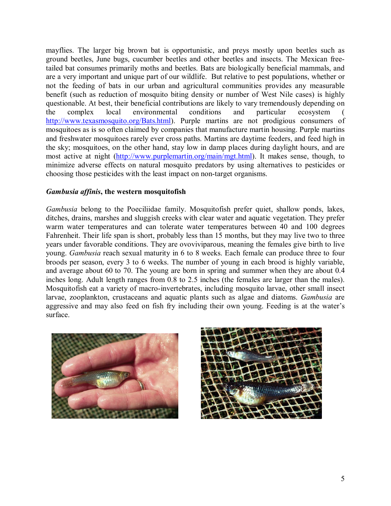mayflies. The larger big brown bat is opportunistic, and preys mostly upon beetles such as ground beetles, June bugs, cucumber beetles and other beetles and insects. The Mexican freetailed bat consumes primarily moths and beetles. Bats are biologically beneficial mammals, and are a very important and unique part of our wildlife. But relative to pest populations, whether or not the feeding of bats in our urban and agricultural communities provides any measurable benefit (such as reduction of mosquito biting density or number of West Nile cases) is highly questionable. At best, their beneficial contributions are likely to vary tremendously depending on the complex local environmental conditions and particular ecosystem ( [http://www.texasmosquito.org/Bats.html\)](http://www.texasmosquito.org/Bats.html). Purple martins are not prodigious consumers of mosquitoes as is so often claimed by companies that manufacture martin housing. Purple martins and freshwater mosquitoes rarely ever cross paths. Martins are daytime feeders, and feed high in the sky; mosquitoes, on the other hand, stay low in damp places during daylight hours, and are most active at night ([http://www.purplemartin.org/main/mgt.html\)](http://www.purplemartin.org/main/mgt.html). It makes sense, though, to minimize adverse effects on natural mosquito predators by using alternatives to pesticides or choosing those pesticides with the least impact on non-target organisms.

## *Gambusia affinis***, the western mosquitofish**

*Gambusia* belong to the Poeciliidae family. Mosquitofish prefer quiet, shallow ponds, lakes, ditches, drains, marshes and sluggish creeks with clear water and aquatic vegetation. They prefer warm water temperatures and can tolerate water temperatures between 40 and 100 degrees Fahrenheit. Their life span is short, probably less than 15 months, but they may live two to three years under favorable conditions. They are ovoviviparous, meaning the females give birth to live young. *Gambusia* reach sexual maturity in 6 to 8 weeks. Each female can produce three to four broods per season, every 3 to 6 weeks. The number of young in each brood is highly variable, and average about 60 to 70. The young are born in spring and summer when they are about 0.4 inches long. Adult length ranges from 0.8 to 2.5 inches (the females are larger than the males). Mosquitofish eat a variety of macro-invertebrates, including mosquito larvae, other small insect larvae, zooplankton, crustaceans and aquatic plants such as algae and diatoms. *Gambusia* are aggressive and may also feed on fish fry including their own young. Feeding is at the water's surface.



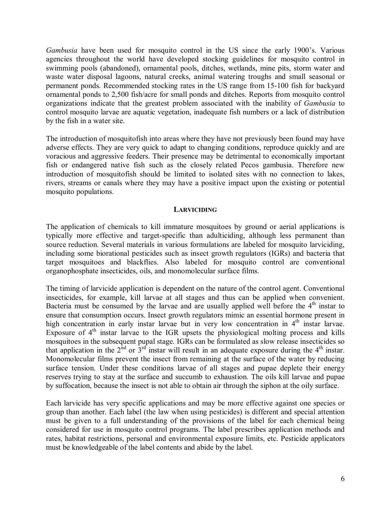*Gambusia* have been used for mosquito control in the US since the early 1900's. Various agencies throughout the world have developed stocking guidelines for mosquito control in swimming pools (abandoned), ornamental pools, ditches, wetlands, mine pits, storm water and waste water disposal lagoons, natural creeks, animal watering troughs and small seasonal or permanent ponds. Recommended stocking rates in the US range from 15-100 fish for backyard ornamental ponds to 2,500 fish/acre for small ponds and ditches. Reports from mosquito control organizations indicate that the greatest problem associated with the inability of *Gambusia* to control mosquito larvae are aquatic vegetation, inadequate fish numbers or a lack of distribution by the fish in a water site.

The introduction of mosquitofish into areas where they have not previously been found may have adverse effects. They are very quick to adapt to changing conditions, reproduce quickly and are voracious and aggressive feeders. Their presence may be detrimental to economically important fish or endangered native fish such as the closely related Pecos gambusia. Therefore new introduction of mosquitofish should be limited to isolated sites with no connection to lakes, rivers, streams or canals where they may have a positive impact upon the existing or potential mosquito populations.

## **LARVICIDING**

The application of chemicals to kill immature mosquitoes by ground or aerial applications is typically more effective and target-specific than adulticiding, although less permanent than source reduction. Several materials in various formulations are labeled for mosquito larviciding, including some biorational pesticides such as insect growth regulators (IGRs) and bacteria that target mosquitoes and blackflies. Also labeled for mosquito control are conventional organophosphate insecticides, oils, and monomolecular surface films.

The timing of larvicide application is dependent on the nature of the control agent. Conventional insecticides, for example, kill larvae at all stages and thus can be applied when convenient. Bacteria must be consumed by the larvae and are usually applied well before the  $4<sup>th</sup>$  instar to ensure that consumption occurs. Insect growth regulators mimic an essential hormone present in high concentration in early instar larvae but in very low concentration in  $4<sup>th</sup>$  instar larvae. Exposure of  $4<sup>th</sup>$  instar larvae to the IGR upsets the physiological molting process and kills mosquitoes in the subsequent pupal stage. IGRs can be formulated as slow release insecticides so that application in the  $2^{nd}$  or  $3^{rd}$  instar will result in an adequate exposure during the 4<sup>th</sup> instar. Monomolecular films prevent the insect from remaining at the surface of the water by reducing surface tension. Under these conditions larvae of all stages and pupae deplete their energy reserves trying to stay at the surface and succumb to exhaustion. The oils kill larvae and pupae by suffocation, because the insect is not able to obtain air through the siphon at the oily surface.

Each larvicide has very specific applications and may be more effective against one species or group than another. Each label (the law when using pesticides) is different and special attention must be given to a full understanding of the provisions of the label for each chemical being considered for use in mosquito control programs. The label prescribes application methods and rates, habitat restrictions, personal and environmental exposure limits, etc. Pesticide applicators must be knowledgeable of the label contents and abide by the label.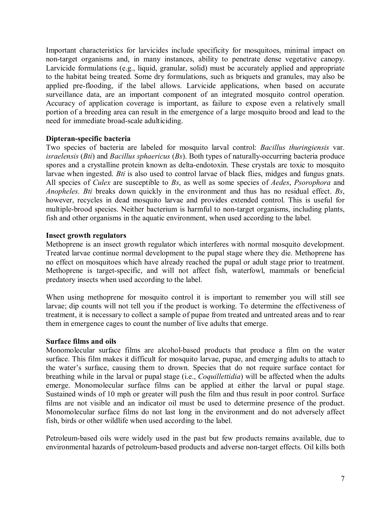Important characteristics for larvicides include specificity for mosquitoes, minimal impact on non-target organisms and, in many instances, ability to penetrate dense vegetative canopy. Larvicide formulations (e.g., liquid, granular, solid) must be accurately applied and appropriate to the habitat being treated. Some dry formulations, such as briquets and granules, may also be applied pre-flooding, if the label allows. Larvicide applications, when based on accurate surveillance data, are an important component of an integrated mosquito control operation. Accuracy of application coverage is important, as failure to expose even a relatively small portion of a breeding area can result in the emergence of a large mosquito brood and lead to the need for immediate broad-scale adulticiding.

## **Dipteran-specific bacteria**

Two species of bacteria are labeled for mosquito larval control: *Bacillus thuringiensis* var. *israelensis* (*Bti*) and *Bacillus sphaericus* (*Bs*). Both types of naturally-occurring bacteria produce spores and a crystalline protein known as delta-endotoxin. These crystals are toxic to mosquito larvae when ingested. *Bti* is also used to control larvae of black flies, midges and fungus gnats. All species of *Culex* are susceptible to *Bs*, as well as some species of *Aedes*, *Psorophora* and *Anopheles*. *Bti* breaks down quickly in the environment and thus has no residual effect. *Bs*, however, recycles in dead mosquito larvae and provides extended control. This is useful for multiple-brood species. Neither bacterium is harmful to non-target organisms, including plants, fish and other organisms in the aquatic environment, when used according to the label.

## **Insect growth regulators**

Methoprene is an insect growth regulator which interferes with normal mosquito development. Treated larvae continue normal development to the pupal stage where they die. Methoprene has no effect on mosquitoes which have already reached the pupal or adult stage prior to treatment. Methoprene is target-specific, and will not affect fish, waterfowl, mammals or beneficial predatory insects when used according to the label.

When using methoprene for mosquito control it is important to remember you will still see larvae; dip counts will not tell you if the product is working. To determine the effectiveness of treatment, it is necessary to collect a sample of pupae from treated and untreated areas and to rear them in emergence cages to count the number of live adults that emerge.

## **Surface films and oils**

Monomolecular surface films are alcohol-based products that produce a film on the water surface. This film makes it difficult for mosquito larvae, pupae, and emerging adults to attach to the water's surface, causing them to drown. Species that do not require surface contact for breathing while in the larval or pupal stage (i.e., *Coquillettidia*) will be affected when the adults emerge. Monomolecular surface films can be applied at either the larval or pupal stage. Sustained winds of 10 mph or greater will push the film and thus result in poor control. Surface films are not visible and an indicator oil must be used to determine presence of the product. Monomolecular surface films do not last long in the environment and do not adversely affect fish, birds or other wildlife when used according to the label.

Petroleum-based oils were widely used in the past but few products remains available, due to environmental hazards of petroleum-based products and adverse non-target effects. Oil kills both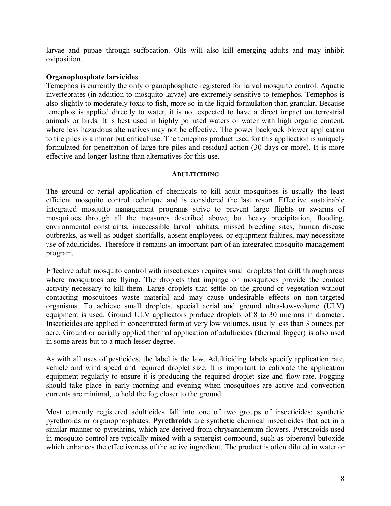larvae and pupae through suffocation. Oils will also kill emerging adults and may inhibit oviposition.

## **Organophosphate larvicides**

Temephos is currently the only organophosphate registered for larval mosquito control. Aquatic invertebrates (in addition to mosquito larvae) are extremely sensitive to temephos. Temephos is also slightly to moderately toxic to fish, more so in the liquid formulation than granular. Because temephos is applied directly to water, it is not expected to have a direct impact on terrestrial animals or birds. It is best used in highly polluted waters or water with high organic content, where less hazardous alternatives may not be effective. The power backpack blower application to tire piles is a minor but critical use. The temephos product used for this application is uniquely formulated for penetration of large tire piles and residual action (30 days or more). It is more effective and longer lasting than alternatives for this use.

## **ADULTICIDING**

The ground or aerial application of chemicals to kill adult mosquitoes is usually the least efficient mosquito control technique and is considered the last resort. Effective sustainable integrated mosquito management programs strive to prevent large flights or swarms of mosquitoes through all the measures described above, but heavy precipitation, flooding, environmental constraints, inaccessible larval habitats, missed breeding sites, human disease outbreaks, as well as budget shortfalls, absent employees, or equipment failures, may necessitate use of adulticides. Therefore it remains an important part of an integrated mosquito management program.

Effective adult mosquito control with insecticides requires small droplets that drift through areas where mosquitoes are flying. The droplets that impinge on mosquitoes provide the contact activity necessary to kill them. Large droplets that settle on the ground or vegetation without contacting mosquitoes waste material and may cause undesirable effects on nontargeted organisms. To achieve small droplets, special aerial and ground  $ultra-low-volume (ULV)$ equipment is used. Ground ULV applicators produce droplets of 8 to 30 microns in diameter. Insecticides are applied in concentrated form at very low volumes, usually less than 3 ounces per acre. Ground or aerially applied thermal application of adulticides (thermal fogger) is also used in some areas but to a much lesser degree.

As with all uses of pesticides, the label is the law. Adulticiding labels specify application rate, vehicle and wind speed and required droplet size. It is important to calibrate the application equipment regularly to ensure it is producing the required droplet size and flow rate. Fogging should take place in early morning and evening when mosquitoes are active and convection currents are minimal, to hold the fog closer to the ground.

Most currently registered adulticides fall into one of two groups of insecticides: synthetic pyrethroids or organophosphates. **Pyrethroids** are synthetic chemical insecticides that act in a similar manner to pyrethrins, which are derived from chrysanthemum flowers. Pyrethroids used in mosquito control are typically mixed with a synergist compound, such as piperonyl butoxide which enhances the effectiveness of the active ingredient. The product is often diluted in water or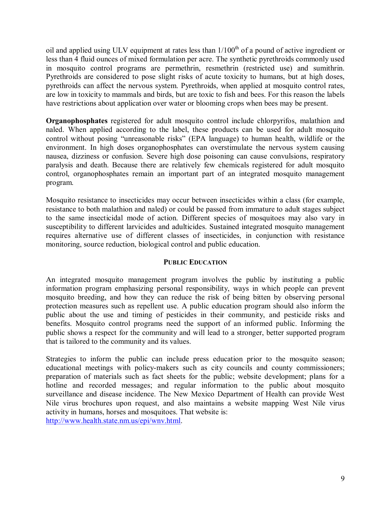oil and applied using ULV equipment at rates less than  $1/100<sup>th</sup>$  of a pound of active ingredient or less than 4 fluid ounces of mixed formulation per acre. The synthetic pyrethroids commonly used in mosquito control programs are permethrin, resmethrin (restricted use) and sumithrin. Pyrethroids are considered to pose slight risks of acute toxicity to humans, but at high doses, pyrethroids can affect the nervous system. Pyrethroids, when applied at mosquito control rates, are low in toxicity to mammals and birds, but are toxic to fish and bees. For this reason the labels have restrictions about application over water or blooming crops when bees may be present.

**Organophosphates** registered for adult mosquito control include chlorpyrifos, malathion and naled. When applied according to the label, these products can be used for adult mosquito control without posing "unreasonable risks" (EPA language) to human health, wildlife or the environment. In high doses organophosphates can overstimulate the nervous system causing nausea, dizziness or confusion. Severe high dose poisoning can cause convulsions, respiratory paralysis and death. Because there are relatively few chemicals registered for adult mosquito control, organophosphates remain an important part of an integrated mosquito management program.

Mosquito resistance to insecticides may occur between insecticides within a class (for example, resistance to both malathion and naled) or could be passed from immature to adult stages subject to the same insecticidal mode of action. Different species of mosquitoes may also vary in susceptibility to different larvicides and adulticides. Sustained integrated mosquito management requires alternative use of different classes of insecticides, in conjunction with resistance monitoring, source reduction, biological control and public education.

## **PUBLIC EDUCATION**

An integrated mosquito management program involves the public by instituting a public information program emphasizing personal responsibility, ways in which people can prevent mosquito breeding, and how they can reduce the risk of being bitten by observing personal protection measures such as repellent use. A public education program should also inform the public about the use and timing of pesticides in their community, and pesticide risks and benefits. Mosquito control programs need the support of an informed public. Informing the public shows a respect for the community and will lead to a stronger, better supported program that is tailored to the community and its values.

Strategies to inform the public can include press education prior to the mosquito season; educational meetings with policy-makers such as city councils and county commissioners; preparation of materials such as fact sheets for the public; website development; plans for a hotline and recorded messages; and regular information to the public about mosquito surveillance and disease incidence. The New Mexico Department of Health can provide West Nile virus brochures upon request, and also maintains a website mapping West Nile virus activity in humans, horses and mosquitoes. That website is: [http://www.health.state.nm.us/epi/wnv.html.](http://www.health.state.nm.us/epi/wnv.html)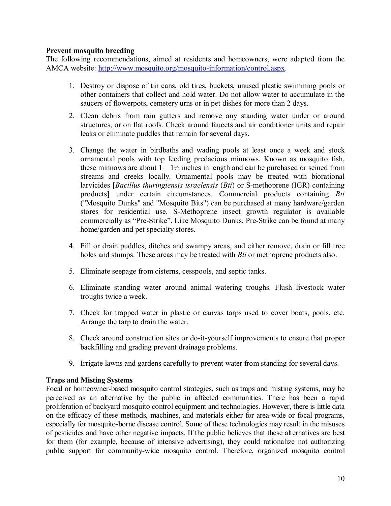## **Prevent mosquito breeding**

The following recommendations, aimed at residents and homeowners, were adapted from the AMCA website: http://www.mosquito.org/mosquito-information/control.aspx.

- 1. Destroy or dispose of tin cans, old tires, buckets, unused plastic swimming pools or other containers that collect and hold water. Do not allow water to accumulate in the saucers of flowerpots, cemetery urns or in pet dishes for more than 2 days.
- 2. Clean debris from rain gutters and remove any standing water under or around structures, or on flat roofs. Check around faucets and air conditioner units and repair leaks or eliminate puddles that remain for several days.
- 3. Change the water in birdbaths and wading pools at least once a week and stock ornamental pools with top feeding predacious minnows. Known as mosquito fish, these minnows are about  $1 - 1\frac{1}{2}$  inches in length and can be purchased or seined from streams and creeks locally. Ornamental pools may be treated with biorational larvicides [*Bacillus thuringiensis israelensis* (*Bti*) or S-methoprene (IGR) containing products] under certain circumstances. Commercial products containing *Bti* ("Mosquito Dunks" and "Mosquito Bits") can be purchased at many hardware/garden stores for residential use. S-Methoprene insect growth regulator is available commercially as "Pre-Strike". Like Mosquito Dunks, Pre-Strike can be found at many home/garden and pet specialty stores.
- 4. Fill or drain puddles, ditches and swampy areas, and either remove, drain or fill tree holes and stumps. These areas may be treated with *Bti* or methoprene products also.
- 5. Eliminate seepage from cisterns, cesspools, and septic tanks.
- 6. Eliminate standing water around animal watering troughs. Flush livestock water troughs twice a week.
- 7. Check for trapped water in plastic or canvas tarps used to cover boats, pools, etc. Arrange the tarp to drain the water.
- 8. Check around construction sites or do-it-yourself improvements to ensure that proper backfilling and grading prevent drainage problems.
- 9. Irrigate lawns and gardens carefully to prevent water from standing for several days.

# **Traps and Misting Systems**

Focal or homeowner-based mosquito control strategies, such as traps and misting systems, may be perceived as an alternative by the public in affected communities. There has been a rapid proliferation of backyard mosquito control equipment and technologies. However, there is little data on the efficacy of these methods, machines, and materials either for areawide or focal programs, especially for mosquito-borne disease control. Some of these technologies may result in the misuses of pesticides and have other negative impacts. If the public believes that these alternatives are best for them (for example, because of intensive advertising), they could rationalize not authorizing public support for community-wide mosquito control. Therefore, organized mosquito control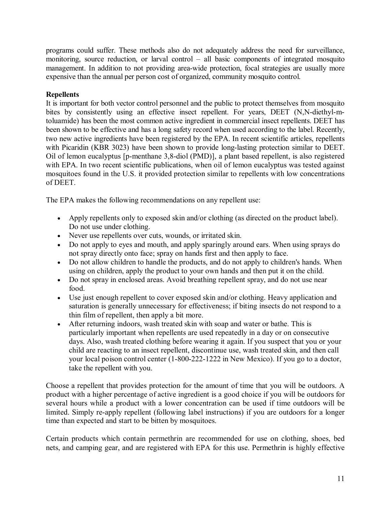programs could suffer. These methods also do not adequately address the need for surveillance, monitoring, source reduction, or larval control – all basic components of integrated mosquito management. In addition to not providing area-wide protection, focal strategies are usually more expensive than the annual per person cost of organized, community mosquito control.

# **Repellents**

It is important for both vector control personnel and the public to protect themselves from mosquito bites by consistently using an effective insect repellent. For years, DEET (N,N-diethyl-mtoluamide) has been the most common active ingredient in commercial insect repellents. DEET has been shown to be effective and has a long safety record when used according to the label. Recently, two new active ingredients have been registered by the EPA. In recent scientific articles, repellents with Picaridin (KBR 3023) have been shown to provide long-lasting protection similar to DEET. Oil of lemon eucalyptus [p-menthane 3,8-diol (PMD)], a plant based repellent, is also registered with EPA. In two recent scientific publications, when oil of lemon eucalyptus was tested against mosquitoes found in the U.S. it provided protection similar to repellents with low concentrations of DEET.

The EPA makes the following recommendations on any repellent use:

- · Apply repellents only to exposed skin and/or clothing (as directed on the product label). Do not use under clothing.
- · Never use repellents over cuts, wounds, or irritated skin.
- · Do not apply to eyes and mouth, and apply sparingly around ears. When using sprays do not spray directly onto face; spray on hands first and then apply to face.
- · Do not allow children to handle the products, and do not apply to children's hands. When using on children, apply the product to your own hands and then put it on the child.
- · Do not spray in enclosed areas. Avoid breathing repellent spray, and do not use near food.
- · Use just enough repellent to cover exposed skin and/or clothing. Heavy application and saturation is generally unnecessary for effectiveness; if biting insects do not respond to a thin film of repellent, then apply a bit more.
- · After returning indoors, wash treated skin with soap and water or bathe. This is particularly important when repellents are used repeatedly in a day or on consecutive days. Also, wash treated clothing before wearing it again. If you suspect that you or your child are reacting to an insect repellent, discontinue use, wash treated skin, and then call your local poison control center (1-800-222-1222 in New Mexico). If you go to a doctor, take the repellent with you.

Choose a repellent that provides protection for the amount of time that you will be outdoors. A product with a higher percentage of active ingredient is a good choice if you will be outdoors for several hours while a product with a lower concentration can be used if time outdoors will be limited. Simply re-apply repellent (following label instructions) if you are outdoors for a longer time than expected and start to be bitten by mosquitoes.

Certain products which contain permethrin are recommended for use on clothing, shoes, bed nets, and camping gear, and are registered with EPA for this use. Permethrin is highly effective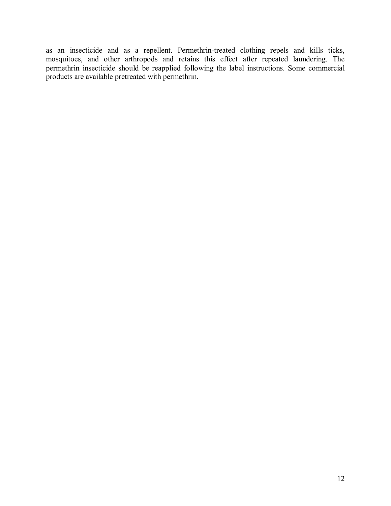as an insecticide and as a repellent. Permethrin-treated clothing repels and kills ticks, mosquitoes, and other arthropods and retains this effect after repeated laundering. The permethrin insecticide should be reapplied following the label instructions. Some commercial products are available pretreated with permethrin.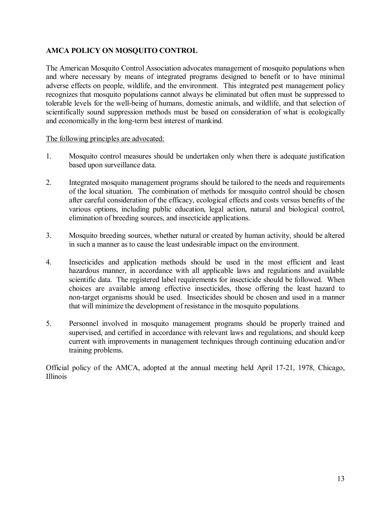# **AMCA POLICY ON MOSQUITO CONTROL**

The American Mosquito Control Association advocates management of mosquito populations when and where necessary by means of integrated programs designed to benefit or to have minimal adverse effects on people, wildlife, and the environment. This integrated pest management policy recognizes that mosquito populations cannot always be eliminated but often must be suppressed to tolerable levels for the well-being of humans, domestic animals, and wildlife, and that selection of scientifically sound suppression methods must be based on consideration of what is ecologically and economically in the long-term best interest of mankind.

## The following principles are advocated:

- 1. Mosquito control measures should be undertaken only when there is adequate justification based upon surveillance data.
- 2. Integrated mosquito management programs should be tailored to the needs and requirements of the local situation. The combination of methods for mosquito control should be chosen after careful consideration of the efficacy, ecological effects and costs versus benefits of the various options, including public education, legal action, natural and biological control, elimination of breeding sources, and insecticide applications.
- 3. Mosquito breeding sources, whether natural or created by human activity, should be altered in such a manner as to cause the least undesirable impact on the environment.
- 4. Insecticides and application methods should be used in the most efficient and least hazardous manner, in accordance with all applicable laws and regulations and available scientific data. The registered label requirements for insecticide should be followed. When choices are available among effective insecticides, those offering the least hazard to nontarget organisms should be used. Insecticides should be chosen and used in a manner that will minimize the development of resistance in the mosquito populations.
- 5. Personnel involved in mosquito management programs should be properly trained and supervised, and certified in accordance with relevant laws and regulations, and should keep current with improvements in management techniques through continuing education and/or training problems.

Official policy of the AMCA, adopted at the annual meeting held April 17-21, 1978, Chicago, Illinois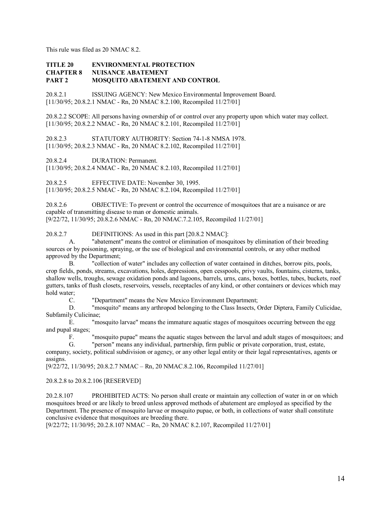This rule was filed as 20 NMAC 8.2.

#### **TITLE 20 ENVIRONMENTAL PROTECTION CHAPTER 8 NUISANCE ABATEMENT PART 2 MOSQUITO ABATEMENT AND CONTROL**

20.8.2.1 ISSUING AGENCY: New Mexico Environmental Improvement Board. [11/30/95; 20.8.2.1 NMAC - Rn, 20 NMAC 8.2.100, Recompiled 11/27/01]

20.8.2.2 SCOPE: All persons having ownership of or control over any property upon which water may collect. [11/30/95; 20.8.2.2 NMAC - Rn, 20 NMAC 8.2.101, Recompiled 11/27/01]

20.8.2.3 STATUTORY AUTHORITY: Section 74-1-8 NMSA 1978. [11/30/95; 20.8.2.3 NMAC - Rn, 20 NMAC 8.2.102, Recompiled 11/27/01]

20.8.2.4 DURATION: Permanent.

[11/30/95; 20.8.2.4 NMAC - Rn, 20 NMAC 8.2.103, Recompiled 11/27/01]

20.8.2.5 EFFECTIVE DATE: November 30, 1995.

[11/30/95; 20.8.2.5 NMAC - Rn, 20 NMAC 8.2.104, Recompiled 11/27/01]

20.8.2.6 OBJECTIVE: To prevent or control the occurrence of mosquitoes that are a nuisance or are capable of transmitting disease to man or domestic animals. [9/22/72, 11/30/95; 20.8.2.6 NMAC - Rn, 20 NMAC.7.2.105, Recompiled 11/27/011

20.8.2.7 DEFINITIONS: As used in this part [20.8.2 NMAC]:

A. "abatement" means the control or elimination of mosquitoes by elimination of their breeding sources or by poisoning, spraying, or the use of biological and environmental controls, or any other method approved by the Department;

B. "collection of water" includes any collection of water contained in ditches, borrow pits, pools, crop fields, ponds, streams, excavations, holes, depressions, open cesspools, privy vaults, fountains, cisterns, tanks, shallow wells, troughs, sewage oxidation ponds and lagoons, barrels, urns, cans, boxes, bottles, tubes, buckets, roof gutters, tanks of flush closets, reservoirs, vessels, receptacles of any kind, or other containers or devices which may hold water;

C. "Department" means the New Mexico Environment Department;

D. "mosquito" means any arthropod belonging to the Class Insects, Order Diptera, Family Culicidae, Subfamily Culicinae;

E. "mosquito larvae" means the immature aquatic stages of mosquitoes occurring between the egg and pupal stages;

F. "mosquito pupae" means the aquatic stages between the larval and adult stages of mosquitoes; and G. "berson" means any individual, partnership, firm public or private corporation, trust, estate.

"person" means any individual, partnership, firm public or private corporation, trust, estate,

company, society, political subdivision or agency, or any other legal entity or their legal representatives, agents or assigns.

[9/22/72, 11/30/95; 20.8.2.7 NMAC – Rn, 20 NMAC.8.2.106, Recompiled 11/27/01]

#### 20.8.2.8 to 20.8.2.106 [RESERVED]

20.2.8.107 PROHIBITED ACTS: No person shall create or maintain any collection of water in or on which mosquitoes breed or are likely to breed unless approved methods of abatement are employed as specified by the Department. The presence of mosquito larvae or mosquito pupae, or both, in collections of water shall constitute conclusive evidence that mosquitoes are breeding there.

[9/22/72; 11/30/95; 20.2.8.107 NMAC – Rn, 20 NMAC 8.2.107, Recompiled 11/27/01]